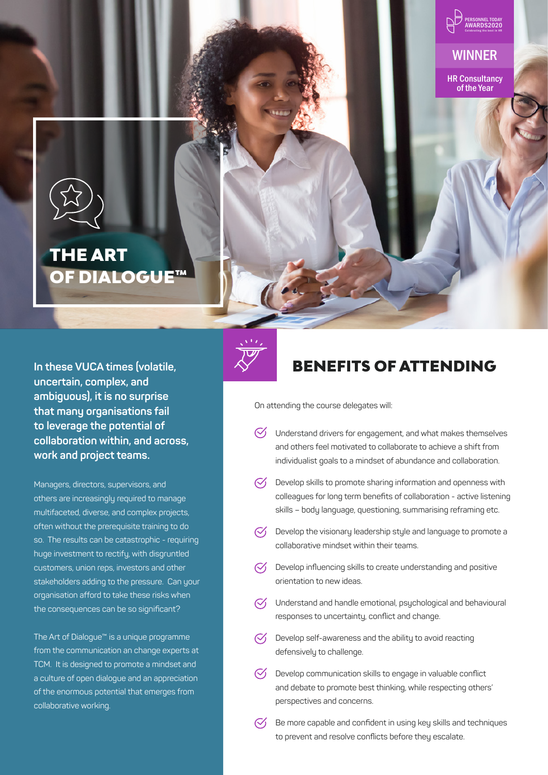



### THE ART OF DIALOGUE™

**In these VUCA times (volatile, uncertain, complex, and ambiguous), it is no surprise that many organisations fail to leverage the potential of collaboration within, and across, work and project teams.** 

Managers, directors, supervisors, and others are increasingly required to manage multifaceted, diverse, and complex projects, often without the prerequisite training to do so. The results can be catastrophic - requiring huge investment to rectify, with disgruntled customers, union reps, investors and other stakeholders adding to the pressure. Can your organisation afford to take these risks when the consequences can be so significant?

The Art of Dialogue™ is a unique programme from the communication an change experts at TCM. It is designed to promote a mindset and a culture of open dialogue and an appreciation of the enormous potential that emerges from collaborative working.



## BENEFITS OF ATTENDING

On attending the course delegates will:

- $\heartsuit$  Understand drivers for engagement, and what makes themselves and others feel motivated to collaborate to achieve a shift from individualist goals to a mindset of abundance and collaboration.
- $\heartsuit$  Develop skills to promote sharing information and openness with colleagues for long term benefits of collaboration - active listening skills – body language, questioning, summarising reframing etc.
- $\heartsuit$  Develop the visionary leadership style and language to promote a collaborative mindset within their teams.
- $\heartsuit$  Develop influencing skills to create understanding and positive orientation to new ideas.
- $\heartsuit$  Understand and handle emotional, psychological and behavioural responses to uncertainty, conflict and change.
- $\heartsuit$  Develop self-awareness and the ability to avoid reacting defensively to challenge.
- $\heartsuit$  Develop communication skills to engage in valuable conflict and debate to promote best thinking, while respecting others' perspectives and concerns.
- $\heartsuit$  Be more capable and confident in using key skills and techniques to prevent and resolve conflicts before they escalate.